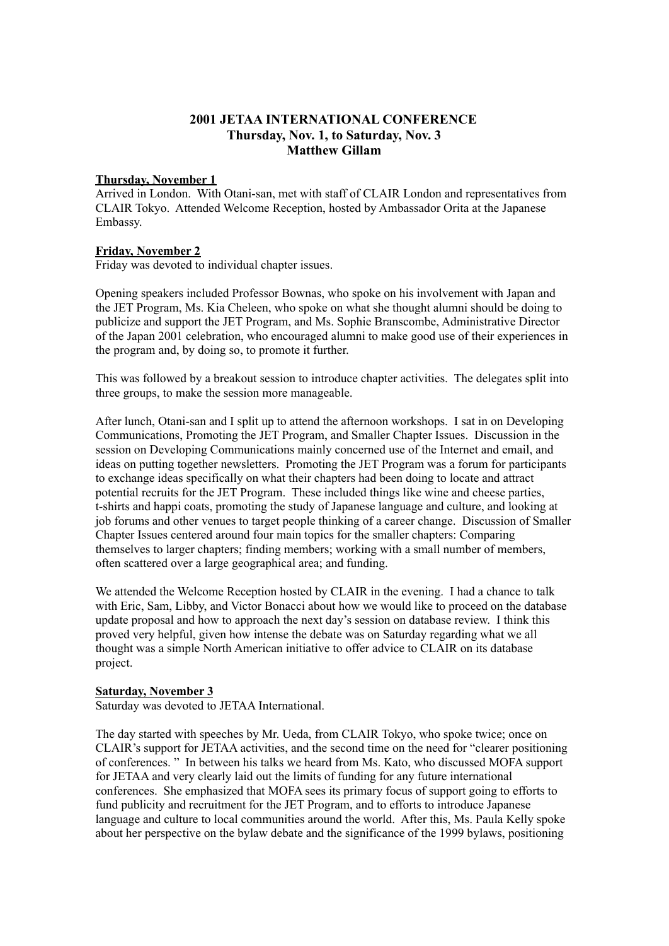# **2001 JETAA INTERNATIONAL CONFERENCE Thursday, Nov. 1, to Saturday, Nov. 3 Matthew Gillam**

### **Thursday, November 1**

Arrived in London. With Otani-san, met with staff of CLAIR London and representatives from CLAIR Tokyo. Attended Welcome Reception, hosted by Ambassador Orita at the Japanese Embassy.

### **Friday, November 2**

Friday was devoted to individual chapter issues.

Opening speakers included Professor Bownas, who spoke on his involvement with Japan and the JET Program, Ms. Kia Cheleen, who spoke on what she thought alumni should be doing to publicize and support the JET Program, and Ms. Sophie Branscombe, Administrative Director of the Japan 2001 celebration, who encouraged alumni to make good use of their experiences in the program and, by doing so, to promote it further.

This was followed by a breakout session to introduce chapter activities. The delegates split into three groups, to make the session more manageable.

After lunch, Otani-san and I split up to attend the afternoon workshops. I sat in on Developing Communications, Promoting the JET Program, and Smaller Chapter Issues. Discussion in the session on Developing Communications mainly concerned use of the Internet and email, and ideas on putting together newsletters. Promoting the JET Program was a forum for participants to exchange ideas specifically on what their chapters had been doing to locate and attract potential recruits for the JET Program. These included things like wine and cheese parties, t-shirts and happi coats, promoting the study of Japanese language and culture, and looking at job forums and other venues to target people thinking of a career change. Discussion of Smaller Chapter Issues centered around four main topics for the smaller chapters: Comparing themselves to larger chapters; finding members; working with a small number of members, often scattered over a large geographical area; and funding.

We attended the Welcome Reception hosted by CLAIR in the evening. I had a chance to talk with Eric, Sam, Libby, and Victor Bonacci about how we would like to proceed on the database update proposal and how to approach the next day's session on database review. I think this proved very helpful, given how intense the debate was on Saturday regarding what we all thought was a simple North American initiative to offer advice to CLAIR on its database project.

### **Saturday, November 3**

Saturday was devoted to JETAA International.

The day started with speeches by Mr. Ueda, from CLAIR Tokyo, who spoke twice; once on CLAIR's support for JETAA activities, and the second time on the need for "clearer positioning of conferences. " In between his talks we heard from Ms. Kato, who discussed MOFA support for JETAA and very clearly laid out the limits of funding for any future international conferences. She emphasized that MOFA sees its primary focus of support going to efforts to fund publicity and recruitment for the JET Program, and to efforts to introduce Japanese language and culture to local communities around the world. After this, Ms. Paula Kelly spoke about her perspective on the bylaw debate and the significance of the 1999 bylaws, positioning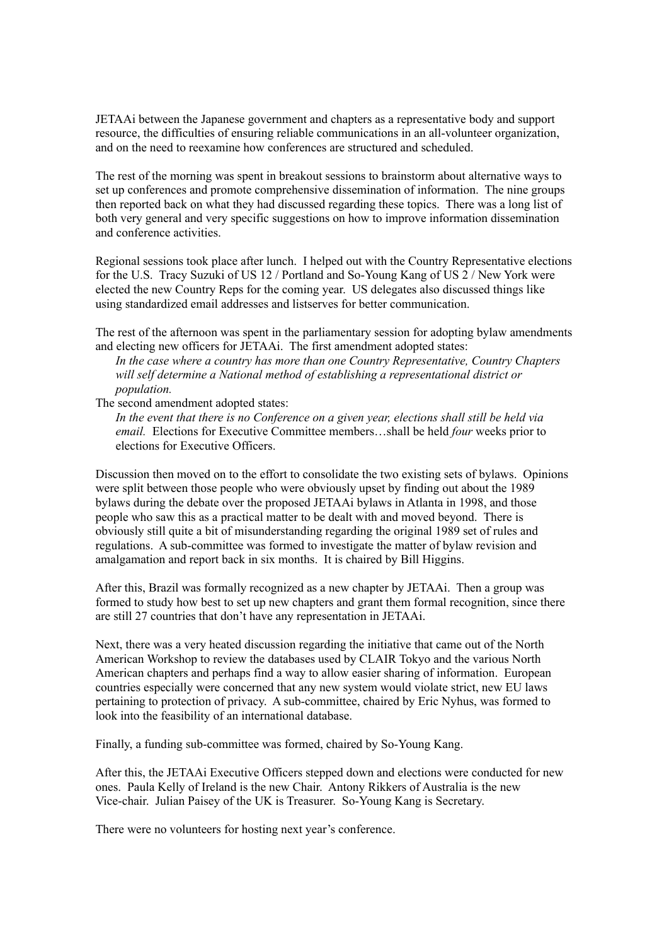JETAAi between the Japanese government and chapters as a representative body and support resource, the difficulties of ensuring reliable communications in an all-volunteer organization, and on the need to reexamine how conferences are structured and scheduled.

The rest of the morning was spent in breakout sessions to brainstorm about alternative ways to set up conferences and promote comprehensive dissemination of information. The nine groups then reported back on what they had discussed regarding these topics. There was a long list of both very general and very specific suggestions on how to improve information dissemination and conference activities.

Regional sessions took place after lunch. I helped out with the Country Representative elections for the U.S. Tracy Suzuki of US 12 / Portland and So-Young Kang of US 2 / New York were elected the new Country Reps for the coming year. US delegates also discussed things like using standardized email addresses and listserves for better communication.

The rest of the afternoon was spent in the parliamentary session for adopting bylaw amendments and electing new officers for JETAAi. The first amendment adopted states:

*In the case where a country has more than one Country Representative, Country Chapters will self determine a National method of establishing a representational district or population.*

The second amendment adopted states:

*In the event that there is no Conference on a given year, elections shall still be held via email.* Elections for Executive Committee members…shall be held *four* weeks prior to elections for Executive Officers.

Discussion then moved on to the effort to consolidate the two existing sets of bylaws. Opinions were split between those people who were obviously upset by finding out about the 1989 bylaws during the debate over the proposed JETAAi bylaws in Atlanta in 1998, and those people who saw this as a practical matter to be dealt with and moved beyond. There is obviously still quite a bit of misunderstanding regarding the original 1989 set of rules and regulations. A sub-committee was formed to investigate the matter of bylaw revision and amalgamation and report back in six months. It is chaired by Bill Higgins.

After this, Brazil was formally recognized as a new chapter by JETAAi. Then a group was formed to study how best to set up new chapters and grant them formal recognition, since there are still 27 countries that don't have any representation in JETAAi.

Next, there was a very heated discussion regarding the initiative that came out of the North American Workshop to review the databases used by CLAIR Tokyo and the various North American chapters and perhaps find a way to allow easier sharing of information. European countries especially were concerned that any new system would violate strict, new EU laws pertaining to protection of privacy. A sub-committee, chaired by Eric Nyhus, was formed to look into the feasibility of an international database.

Finally, a funding sub-committee was formed, chaired by So-Young Kang.

After this, the JETAAi Executive Officers stepped down and elections were conducted for new ones. Paula Kelly of Ireland is the new Chair. Antony Rikkers of Australia is the new Vice-chair. Julian Paisey of the UK is Treasurer. So-Young Kang is Secretary.

There were no volunteers for hosting next year's conference.